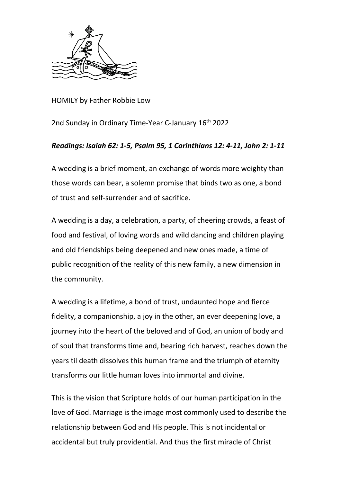

HOMILY by Father Robbie Low

2nd Sunday in Ordinary Time-Year C-January 16th 2022

## *Readings: Isaiah 62: 1-5, Psalm 95, 1 Corinthians 12: 4-11, John 2: 1-11*

A wedding is a brief moment, an exchange of words more weighty than those words can bear, a solemn promise that binds two as one, a bond of trust and self-surrender and of sacrifice.

A wedding is a day, a celebration, a party, of cheering crowds, a feast of food and festival, of loving words and wild dancing and children playing and old friendships being deepened and new ones made, a time of public recognition of the reality of this new family, a new dimension in the community.

A wedding is a lifetime, a bond of trust, undaunted hope and fierce fidelity, a companionship, a joy in the other, an ever deepening love, a journey into the heart of the beloved and of God, an union of body and of soul that transforms time and, bearing rich harvest, reaches down the years til death dissolves this human frame and the triumph of eternity transforms our little human loves into immortal and divine.

This is the vision that Scripture holds of our human participation in the love of God. Marriage is the image most commonly used to describe the relationship between God and His people. This is not incidental or accidental but truly providential. And thus the first miracle of Christ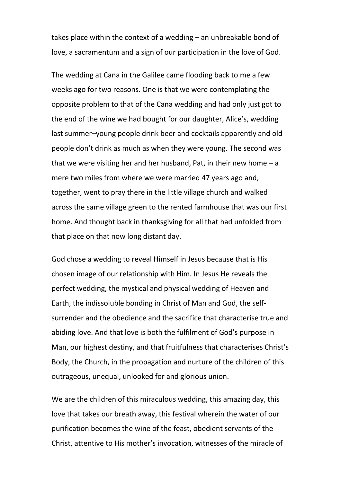takes place within the context of a wedding – an unbreakable bond of love, a sacramentum and a sign of our participation in the love of God.

The wedding at Cana in the Galilee came flooding back to me a few weeks ago for two reasons. One is that we were contemplating the opposite problem to that of the Cana wedding and had only just got to the end of the wine we had bought for our daughter, Alice's, wedding last summer–young people drink beer and cocktails apparently and old people don't drink as much as when they were young. The second was that we were visiting her and her husband, Pat, in their new home  $-a$ mere two miles from where we were married 47 years ago and, together, went to pray there in the little village church and walked across the same village green to the rented farmhouse that was our first home. And thought back in thanksgiving for all that had unfolded from that place on that now long distant day.

God chose a wedding to reveal Himself in Jesus because that is His chosen image of our relationship with Him. In Jesus He reveals the perfect wedding, the mystical and physical wedding of Heaven and Earth, the indissoluble bonding in Christ of Man and God, the selfsurrender and the obedience and the sacrifice that characterise true and abiding love. And that love is both the fulfilment of God's purpose in Man, our highest destiny, and that fruitfulness that characterises Christ's Body, the Church, in the propagation and nurture of the children of this outrageous, unequal, unlooked for and glorious union.

We are the children of this miraculous wedding, this amazing day, this love that takes our breath away, this festival wherein the water of our purification becomes the wine of the feast, obedient servants of the Christ, attentive to His mother's invocation, witnesses of the miracle of